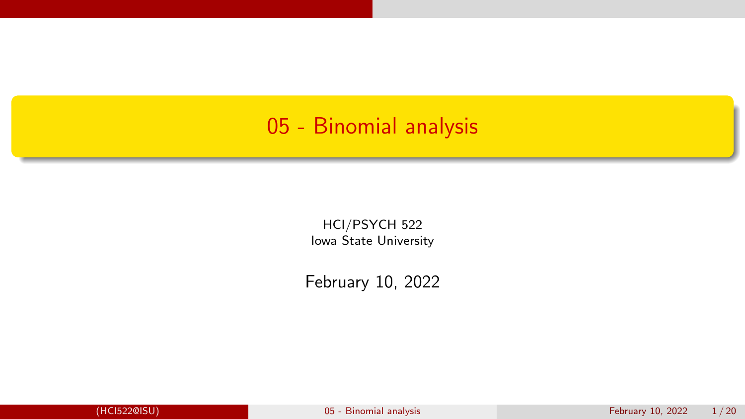#### <span id="page-0-0"></span>05 - Binomial analysis

HCI/PSYCH 522 Iowa State University

February 10, 2022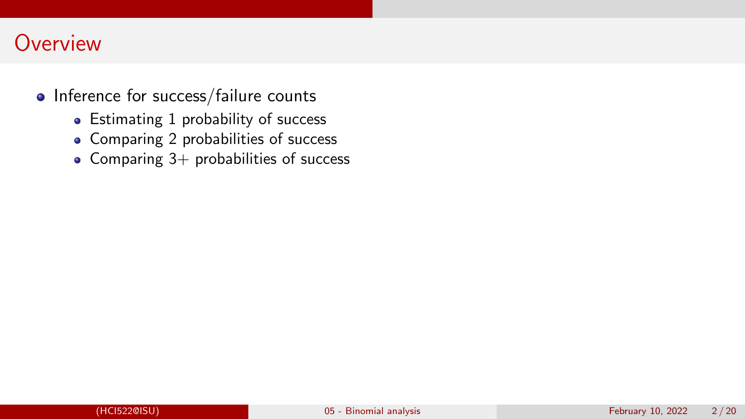#### **Overview**

- Inference for success/failure counts
	- Estimating 1 probability of success
	- Comparing 2 probabilities of success
	- Comparing  $3+$  probabilities of success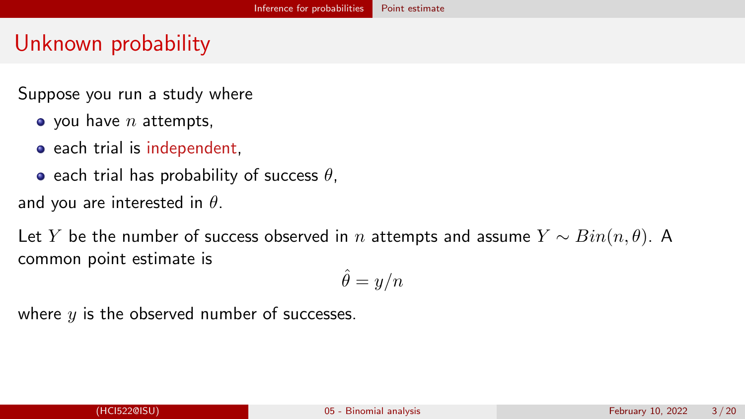## <span id="page-2-0"></span>Unknown probability

Suppose you run a study where

- $\bullet$  you have n attempts.
- each trial is independent.
- **e** each trial has probability of success  $\theta$ .

and you are interested in  $\theta$ .

Let Y be the number of success observed in n attempts and assume  $Y \sim Bin(n, \theta)$ . A common point estimate is

$$
\hat{\theta} = y/n
$$

where  $y$  is the observed number of successes.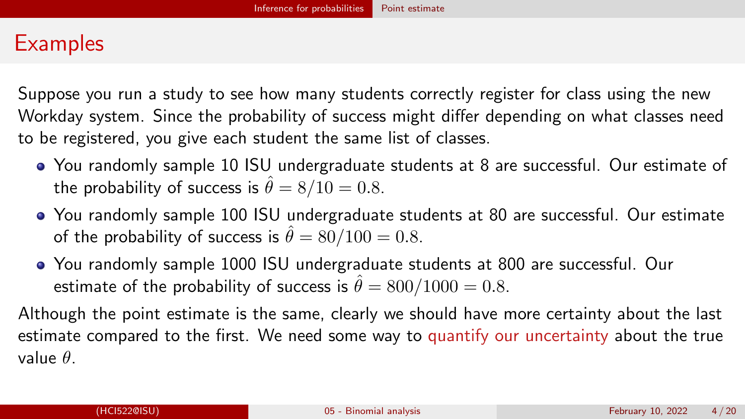#### **Examples**

Suppose you run a study to see how many students correctly register for class using the new Workday system. Since the probability of success might differ depending on what classes need to be registered, you give each student the same list of classes.

- You randomly sample 10 ISU undergraduate students at 8 are successful. Our estimate of the probability of success is  $\hat{\theta} = 8/10 = 0.8$ .
- You randomly sample 100 ISU undergraduate students at 80 are successful. Our estimate of the probability of success is  $\hat{\theta} = 80/100 = 0.8$ .
- You randomly sample 1000 ISU undergraduate students at 800 are successful. Our estimate of the probability of success is  $\hat{\theta} = 800/1000 = 0.8$ .

Although the point estimate is the same, clearly we should have more certainty about the last estimate compared to the first. We need some way to quantify our uncertainty about the true value θ.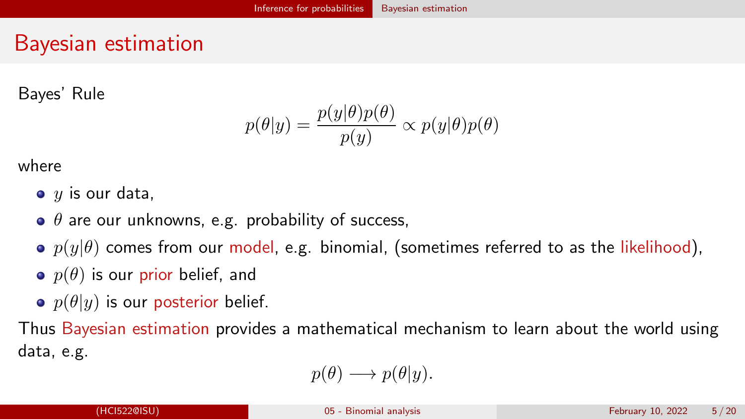#### <span id="page-4-0"></span>Bayesian estimation

Bayes' Rule

$$
p(\theta|y) = \frac{p(y|\theta)p(\theta)}{p(y)} \propto p(y|\theta)p(\theta)
$$

where

- $\bullet$  y is our data,
- $\theta$  are our unknowns, e.g. probability of success,
- $p(y|\theta)$  comes from our model, e.g. binomial, (sometimes referred to as the likelihood),
- $\bullet$   $p(\theta)$  is our prior belief, and
- $p(\theta|y)$  is our posterior belief.

Thus Bayesian estimation provides a mathematical mechanism to learn about the world using data, e.g.

$$
p(\theta) \longrightarrow p(\theta|y).
$$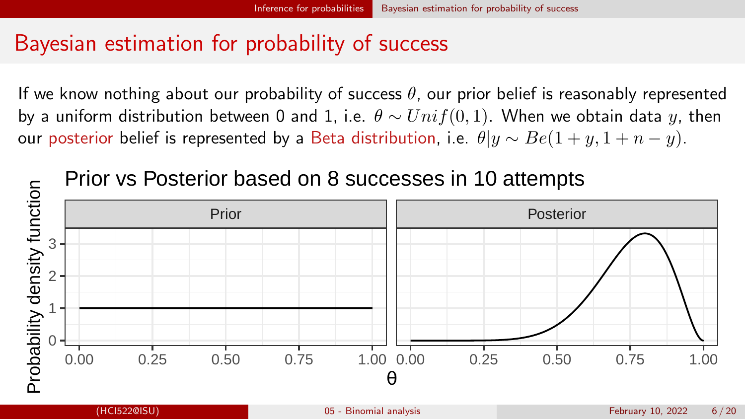#### <span id="page-5-0"></span>Bayesian estimation for probability of success

If we know nothing about our probability of success  $\theta$ , our prior belief is reasonably represented by a uniform distribution between 0 and 1, i.e.  $\theta \sim Unif(0,1)$ . When we obtain data y, then our posterior belief is represented by a Beta distribution, i.e.  $\theta |y \sim Be(1 + y, 1 + n - y)$ .

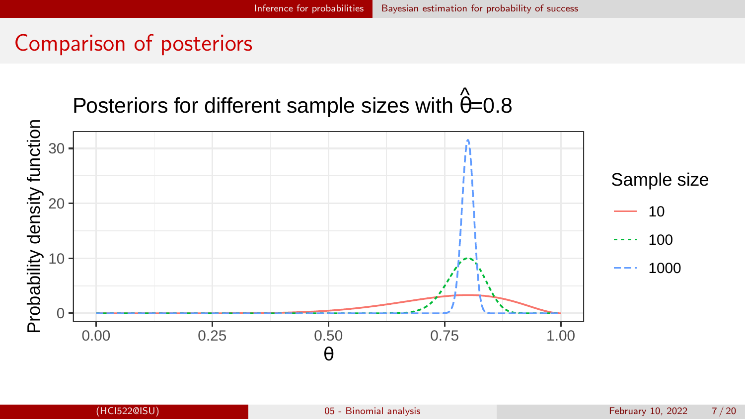#### Comparison of posteriors

# Posteriors for different sample sizes with  $\hat{\theta}$ =0.8

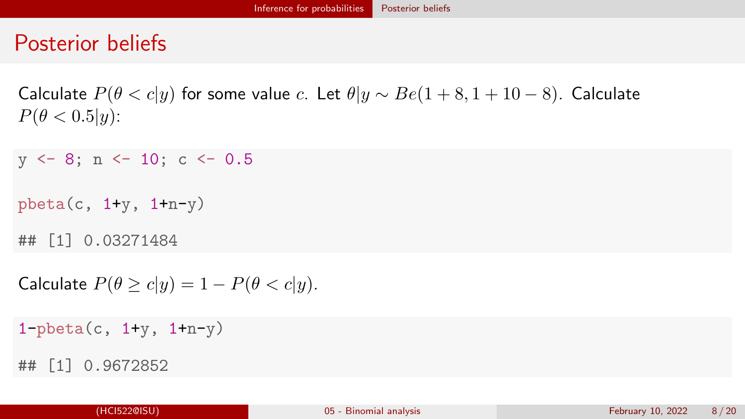#### <span id="page-7-0"></span>Posterior beliefs

Calculate  $P(\theta < c|y)$  for some value c. Let  $\theta|y \sim Be(1+8, 1+10-8)$ . Calculate  $P(\theta < 0.5|y)$ :

```
v \le -8; n \le -10; c \le -0.5
```

```
\text{pbeta}(c, 1+y, 1+n-y)
```
## [1] 0.03271484

Calculate  $P(\theta > c|y) = 1 - P(\theta < c|y)$ .

 $1$ -pbeta(c,  $1+y$ ,  $1+n-y$ )

## [1] 0.9672852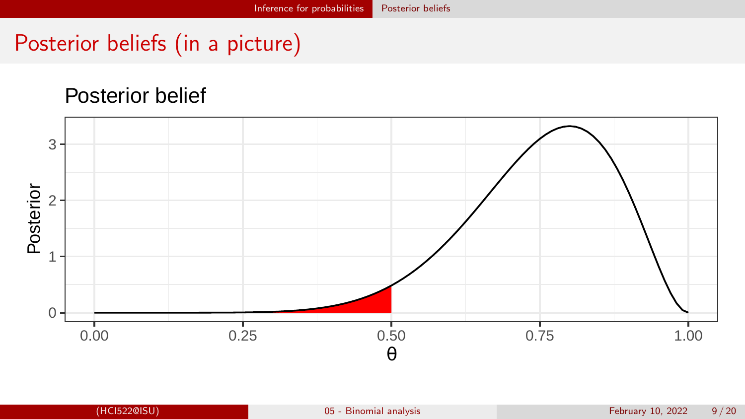## Posterior beliefs (in a picture)

#### Posterior belief

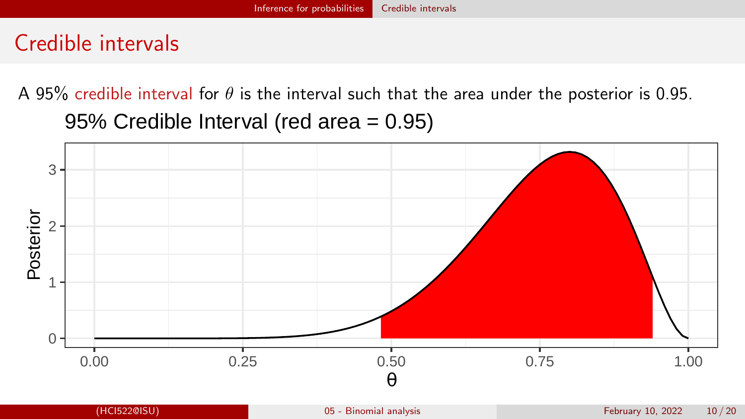## <span id="page-9-0"></span>Credible intervals

A 95% credible interval for  $\theta$  is the interval such that the area under the posterior is 0.95.

95% Credible Interval (red area = 0.95)

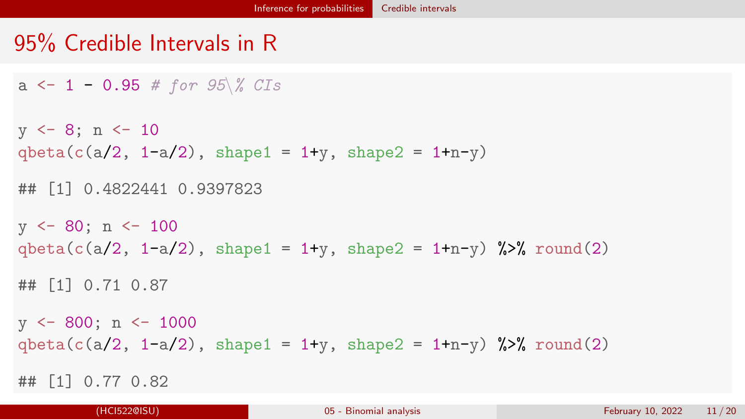## 95% Credible Intervals in R

```
a \leftarrow 1 - 0.95 # for 95\% CIs
```

```
y \le -8; n \le -10qbeta(c(a/2, 1-a/2), shape1 = 1+y, shape2 = 1+n-y)
## [1] 0.4822441 0.9397823
v \le -80; n \le -100qbeta(c(a/2, 1-a/2), shape1 = 1+y, shape2 = 1+n-y) %% round(2)
## [1] 0.71 0.87
y \leftarrow 800; n \leftarrow 1000qbeta(c(a/2, 1-a/2), shape1 = 1+y, shape2 = 1+n-y) %>% round(2)
## [1] 0.77 0.82
```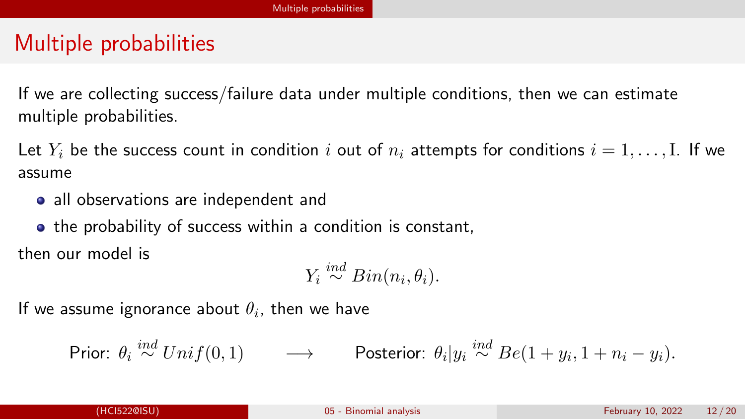## <span id="page-11-0"></span>Multiple probabilities

If we are collecting success/failure data under multiple conditions, then we can estimate multiple probabilities.

Let  $Y_i$  be the success count in condition i out of  $n_i$  attempts for conditions  $i = 1, \ldots, I$ . If we assume

- all observations are independent and
- the probability of success within a condition is constant,

then our model is

 $Y_i \stackrel{ind}{\sim} Bin(n_i,\theta_i).$ 

If we assume ignorance about  $\theta_i$ , then we have

$$
\text{Prior: } \theta_i \stackrel{ind}{\sim} Unif(0,1) \qquad \longrightarrow \qquad \text{Posterior: } \theta_i | y_i \stackrel{ind}{\sim} Be(1+y_i, 1+n_i-y_i).
$$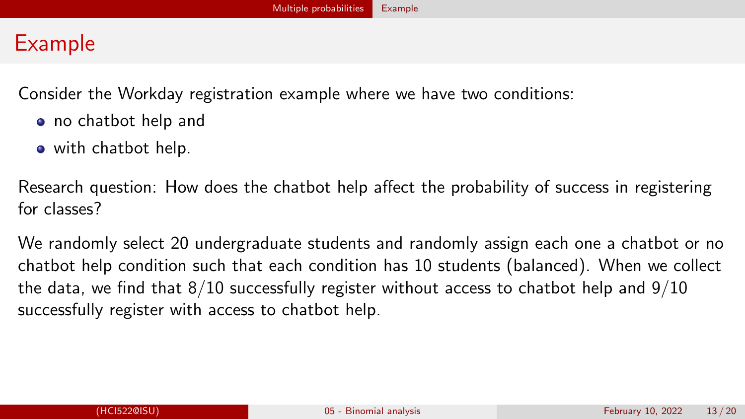## <span id="page-12-0"></span>Example

Consider the Workday registration example where we have two conditions:

- no chatbot help and
- with chatbot help.

Research question: How does the chatbot help affect the probability of success in registering for classes?

We randomly select 20 undergraduate students and randomly assign each one a chatbot or no chatbot help condition such that each condition has 10 students (balanced). When we collect the data, we find that  $8/10$  successfully register without access to chatbot help and  $9/10$ successfully register with access to chatbot help.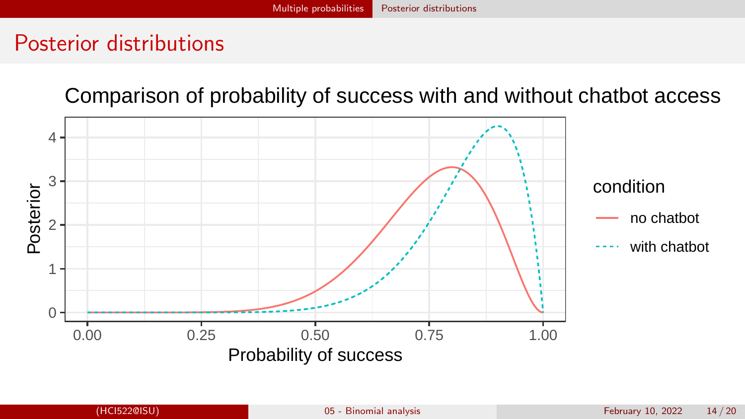## <span id="page-13-0"></span>Posterior distributions

Comparison of probability of success with and without chatbot access

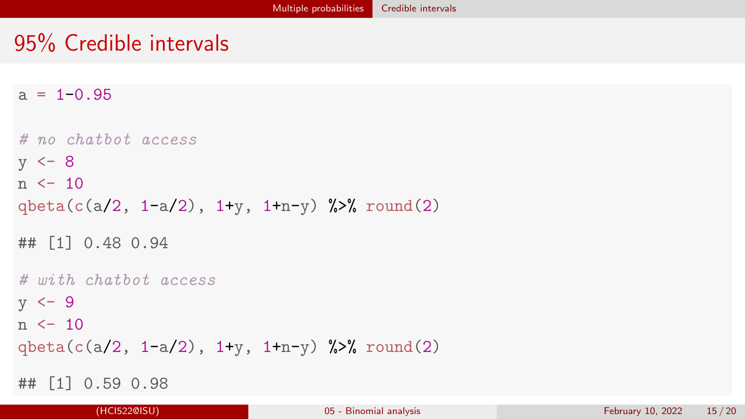## <span id="page-14-0"></span>95% Credible intervals

 $a = 1 - 0.95$ 

```
# no chatbot access
y \leftarrow 8n < -10qbeta(c(a/2, 1-a/2), 1+y, 1+n-y) %>% round(2)## [1] 0.48 0.94
# with chatbot access
v \leftarrow 9n < -10qbeta(c(a/2, 1-a/2), 1+y, 1+n-y) %>% round(2)
## [1] 0.59 0.98
```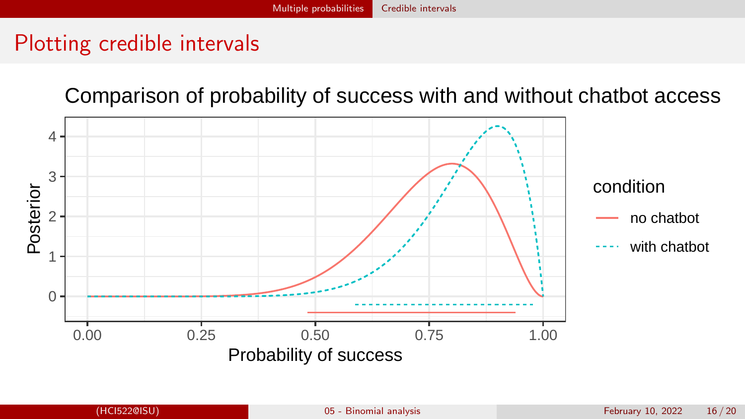## Plotting credible intervals

Comparison of probability of success with and without chatbot access

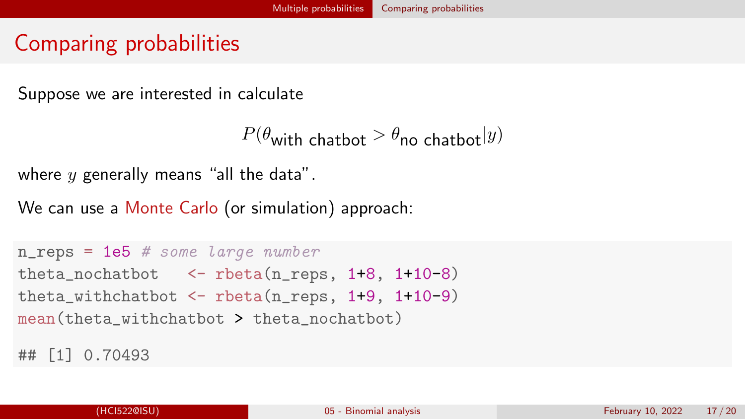#### <span id="page-16-0"></span>Comparing probabilities

Suppose we are interested in calculate

```
P(\theta_{\text{with}} \text{chathot} > \theta_{\text{no}} \text{chathot}|y)
```
where  $y$  generally means "all the data".

We can use a Monte Carlo (or simulation) approach:

```
n reps = 1e5 # some large number
theta_nochatbot \leq rbeta(n_reps, 1+8, 1+10-8)
theta_withchatbot \leq rbeta(n_reps, 1+9, 1+10-9)
mean(theta_withchatbot > theta_nochatbot)
```
## [1] 0.70493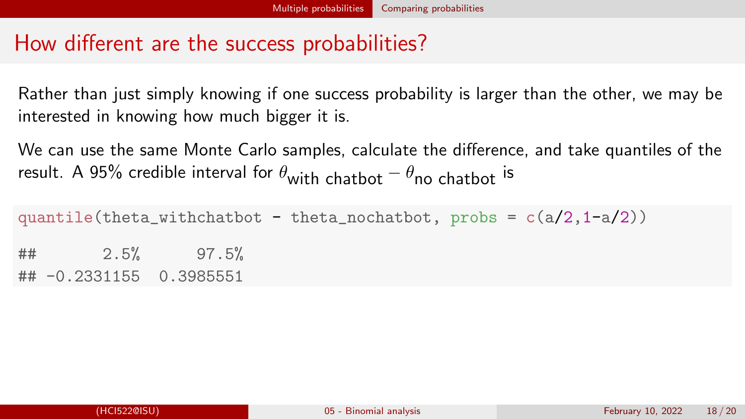#### How different are the success probabilities?

Rather than just simply knowing if one success probability is larger than the other, we may be interested in knowing how much bigger it is.

We can use the same Monte Carlo samples, calculate the difference, and take quantiles of the result. A 95% credible interval for  $\theta_{\text{with}}$  chathot  $-\theta_{\text{no}}$  chathot is

quantile(theta\_withchatbot - theta\_nochatbot, probs =  $c(a/2,1-a/2)$ ) ## 2.5% 97.5% ## -0.2331155 0.3985551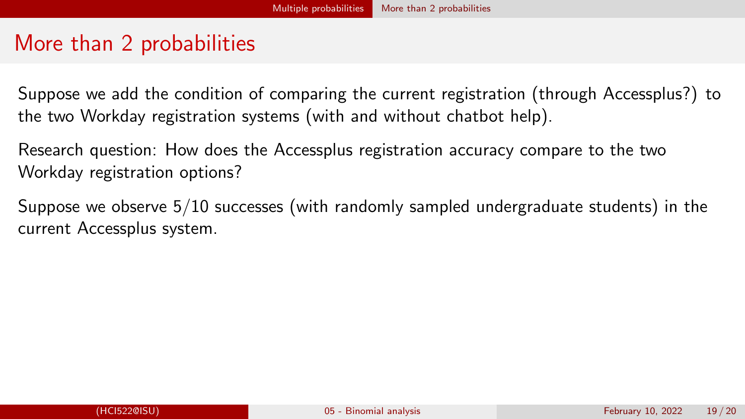#### <span id="page-18-0"></span>More than 2 probabilities

Suppose we add the condition of comparing the current registration (through Accessplus?) to the two Workday registration systems (with and without chatbot help).

Research question: How does the Accessplus registration accuracy compare to the two Workday registration options?

Suppose we observe 5/10 successes (with randomly sampled undergraduate students) in the current Accessplus system.